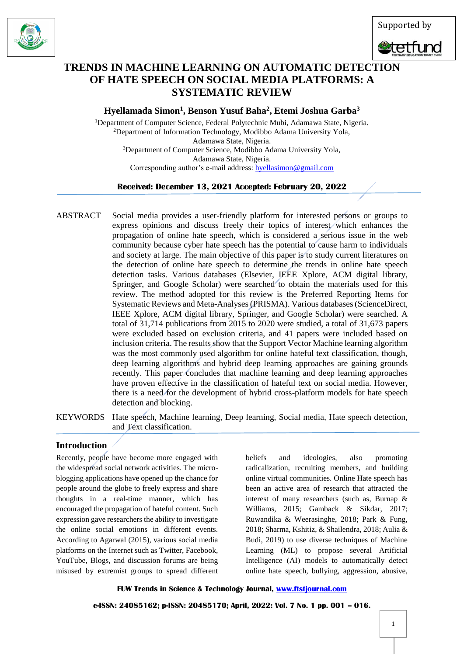





# **TRENDS IN MACHINE LEARNING ON AUTOMATIC DETECTION OF HATE SPEECH ON SOCIAL MEDIA PLATFORMS: A SYSTEMATIC REVIEW**

**Hyellamada Simon<sup>1</sup> , Benson Yusuf Baha<sup>2</sup> , Etemi Joshua Garba<sup>3</sup>**

<sup>1</sup>Department of Computer Science, Federal Polytechnic Mubi, Adamawa State, Nigeria. <sup>2</sup>Department of Information Technology, Modibbo Adama University Yola, Adamawa State, Nigeria. <sup>3</sup>Department of Computer Science, Modibbo Adama University Yola, Adamawa State, Nigeria. Corresponding author's e-mail address[: hyellasimon@gmail.com](mailto:hyellasimon@gmail.com)

# **Received: December 13, 2021 Accepted: February 20, 2022**

- ABSTRACTSocial media provides a user-friendly platform for interested persons or groups to express opinions and discuss freely their topics of interest which enhances the propagation of online hate speech, which is considered a serious issue in the web community because cyber hate speech has the potential to cause harm to individuals and society at large. The main objective of this paper is to study current literatures on the detection of online hate speech to determine the trends in online hate speech detection tasks. Various databases (Elsevier, IEEE Xplore, ACM digital library, Springer, and Google Scholar) were searched to obtain the materials used for this review. The method adopted for this review is the Preferred Reporting Items for Systematic Reviews and Meta-Analyses (PRISMA). Various databases (ScienceDirect, IEEE Xplore, ACM digital library, Springer, and Google Scholar) were searched. A total of 31,714 publications from 2015 to 2020 were studied, a total of 31,673 papers were excluded based on exclusion criteria, and 41 papers were included based on inclusion criteria. The results show that the Support Vector Machine learning algorithm was the most commonly used algorithm for online hateful text classification, though, deep learning algorithms and hybrid deep learning approaches are gaining grounds recently. This paper concludes that machine learning and deep learning approaches have proven effective in the classification of hateful text on social media. However, there is a need for the development of hybrid cross-platform models for hate speech detection and blocking.
- KEYWORDS Hate speech, Machine learning, Deep learning, Social media, Hate speech detection, and Text classification.

# **Introduction**

Recently, people have become more engaged with the widespread social network activities. The microblogging applications have opened up the chance for people around the globe to freely express and share thoughts in a real-time manner, which has encouraged the propagation of hateful content. Such expression gave researchers the ability to investigate the online social emotions in different events. According to Agarwal (2015), various social media platforms on the Internet such as Twitter, Facebook, YouTube, Blogs, and discussion forums are being misused by extremist groups to spread different

beliefs and ideologies, also promoting radicalization, recruiting members, and building online virtual communities. Online Hate speech has been an active area of research that attracted the interest of many researchers (such as, Burnap & Williams, 2015; Gamback & Sikdar, 2017; Ruwandika & Weerasinghe, 2018; Park & Fung, 2018; Sharma, Kshitiz, & Shailendra, 2018; Aulia & Budi, 2019) to use diverse techniques of Machine Learning (ML) to propose several Artificial Intelligence (AI) models to automatically detect online hate speech, bullying, aggression, abusive,

**FUW Trends in Science & Technology Journal, [www.ftstjournal.com](http://www.ftstjournal.com/)**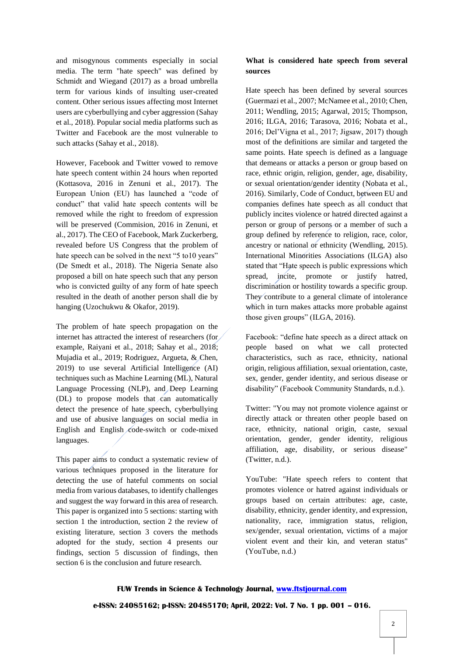and misogynous comments especially in social media. The term "hate speech" was defined by Schmidt and Wiegand (2017) as a broad umbrella term for various kinds of insulting user-created content. Other serious issues affecting most Internet users are cyberbullying and cyber aggression (Sahay et al., 2018). Popular social media platforms such as Twitter and Facebook are the most vulnerable to such attacks (Sahay et al., 2018).

However, Facebook and Twitter vowed to remove hate speech content within 24 hours when reported (Kottasova, 2016 in Zenuni et al., 2017). The European Union (EU) has launched a "code of conduct" that valid hate speech contents will be removed while the right to freedom of expression will be preserved (Commision, 2016 in Zenuni, et al., 2017). The CEO of Facebook, Mark Zuckerberg, revealed before US Congress that the problem of hate speech can be solved in the next "5 to 10 years" (De Smedt et al., 2018). The Nigeria Senate also proposed a bill on hate speech such that any person who is convicted guilty of any form of hate speech resulted in the death of another person shall die by hanging (Uzochukwu & Okafor, 2019).

The problem of hate speech propagation on the internet has attracted the interest of researchers (for example, Raiyani et al., 2018; Sahay et al., 2018; Mujadia et al., 2019; Rodriguez, Argueta, & Chen, 2019) to use several Artificial Intelligence (AI) techniques such as Machine Learning (ML), Natural Language Processing (NLP), and Deep Learning (DL) to propose models that  $\angle$  can automatically detect the presence of hate speech, cyberbullying and use of abusive languages on social media in English and English code-switch or code-mixed languages.

This paper aims to conduct a systematic review of various techniques proposed in the literature for detecting the use of hateful comments on social media from various databases, to identify challenges and suggest the way forward in this area of research. This paper is organized into 5 sections: starting with section 1 the introduction, section 2 the review of existing literature, section 3 covers the methods adopted for the study, section 4 presents our findings, section 5 discussion of findings, then section 6 is the conclusion and future research.

## **What is considered hate speech from several sources**

Hate speech has been defined by several sources (Guermazi et al., 2007; McNamee et al., 2010; Chen, 2011; Wendling, 2015; Agarwal, 2015; Thompson, 2016; ILGA, 2016; Tarasova, 2016; Nobata et al., 2016; Del'Vigna et al., 2017; Jigsaw, 2017) though most of the definitions are similar and targeted the same points. Hate speech is defined as a language that demeans or attacks a person or group based on race, ethnic origin, religion, gender, age, disability, or sexual orientation/gender identity (Nobata et al., 2016). Similarly, Code of Conduct, between EU and companies defines hate speech as all conduct that publicly incites violence or hatred directed against a person or group of persons or a member of such a group defined by reference to religion, race, color, ancestry or national or ethnicity (Wendling, 2015). International Minorities Associations (ILGA) also stated that "Hate speech is public expressions which spread, incite, promote or justify hatred, discrimination or hostility towards a specific group. They contribute to a general climate of intolerance which in turn makes attacks more probable against those given groups" (ILGA, 2016).

Facebook: "define hate speech as a direct attack on people based on what we call protected characteristics, such as race, ethnicity, national origin, religious affiliation, sexual orientation, caste, sex, gender, gender identity, and serious disease or disability" (Facebook Community Standards, n.d.).

Twitter: "You may not promote violence against or directly attack or threaten other people based on race, ethnicity, national origin, caste, sexual orientation, gender, gender identity, religious affiliation, age, disability, or serious disease" (Twitter, n.d.).

YouTube: "Hate speech refers to content that promotes violence or hatred against individuals or groups based on certain attributes: age, caste, disability, ethnicity, gender identity, and expression, nationality, race, immigration status, religion, sex/gender, sexual orientation, victims of a major violent event and their kin, and veteran status" (YouTube, n.d.)

# **FUW Trends in Science & Technology Journal, [www.ftstjournal.com](http://www.ftstjournal.com/) e-ISSN: 24085162; p-ISSN: 20485170; April, 2022: Vol. 7 No. 1 pp. 001 – 016.**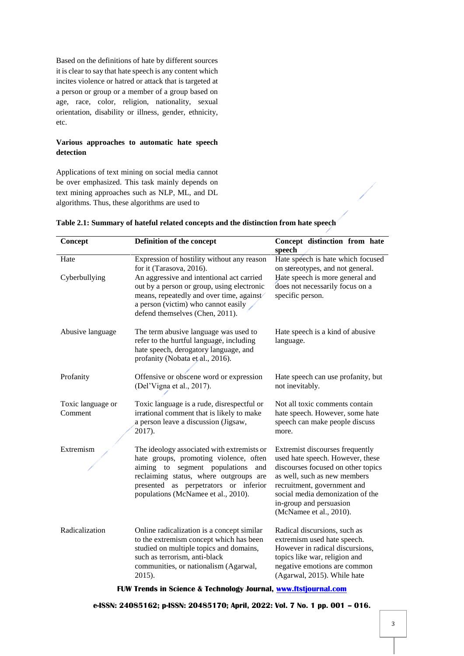Based on the definitions of hate by different sources it is clear to say that hate speech is any content which incites violence or hatred or attack that is targeted at a person or group or a member of a group based on age, race, color, religion, nationality, sexual orientation, disability or illness, gender, ethnicity, etc.

## **Various approaches to automatic hate speech detection**

Applications of text mining on social media cannot be over emphasized. This task mainly depends on text mining approaches such as NLP, ML, and DL algorithms. Thus, these algorithms are used to

| Concept                      | Definition of the concept                                                                                                                                                                                                                                                               | Concept distinction from hate<br>speech                                                                                                                                                                                                                            |
|------------------------------|-----------------------------------------------------------------------------------------------------------------------------------------------------------------------------------------------------------------------------------------------------------------------------------------|--------------------------------------------------------------------------------------------------------------------------------------------------------------------------------------------------------------------------------------------------------------------|
| Hate<br>Cyberbullying        | Expression of hostility without any reason<br>for it (Tarasova, 2016).<br>An aggressive and intentional act carried<br>out by a person or group, using electronic<br>means, repeatedly and over time, against<br>a person (victim) who cannot easily<br>defend themselves (Chen, 2011). | Hate speech is hate which focused<br>on stereotypes, and not general.<br>Hate speech is more general and<br>does not necessarily focus on a<br>specific person.                                                                                                    |
| Abusive language             | The term abusive language was used to<br>refer to the hurtful language, including<br>hate speech, derogatory language, and<br>profanity (Nobata et al., 2016).                                                                                                                          | Hate speech is a kind of abusive<br>language.                                                                                                                                                                                                                      |
| Profanity                    | Offensive or obscene word or expression<br>(Del'Vigna et al., 2017).                                                                                                                                                                                                                    | Hate speech can use profanity, but<br>not inevitably.                                                                                                                                                                                                              |
| Toxic language or<br>Comment | Toxic language is a rude, disrespectful or<br>irrational comment that is likely to make<br>a person leave a discussion (Jigsaw,<br>2017).                                                                                                                                               | Not all toxic comments contain<br>hate speech. However, some hate<br>speech can make people discuss<br>more.                                                                                                                                                       |
| Extremism                    | The ideology associated with extremists or<br>hate groups, promoting violence, often<br>aiming to segment populations<br>and<br>reclaiming status, where outgroups are<br>presented as perpetrators or inferior<br>populations (McNamee et al., 2010).                                  | Extremist discourses frequently<br>used hate speech. However, these<br>discourses focused on other topics<br>as well, such as new members<br>recruitment, government and<br>social media demonization of the<br>in-group and persuasion<br>(McNamee et al., 2010). |
| Radicalization               | Online radicalization is a concept similar<br>to the extremism concept which has been<br>studied on multiple topics and domains,<br>such as terrorism, anti-black<br>communities, or nationalism (Agarwal,<br>2015).                                                                    | Radical discursions, such as<br>extremism used hate speech.<br>However in radical discursions,<br>topics like war, religion and<br>negative emotions are common<br>(Agarwal, 2015). While hate                                                                     |

| Table 2.1: Summary of hateful related concepts and the distinction from hate speech |  |  |
|-------------------------------------------------------------------------------------|--|--|
|                                                                                     |  |  |

**FUW Trends in Science & Technology Journal, [www.ftstjournal.com](http://www.ftstjournal.com/)**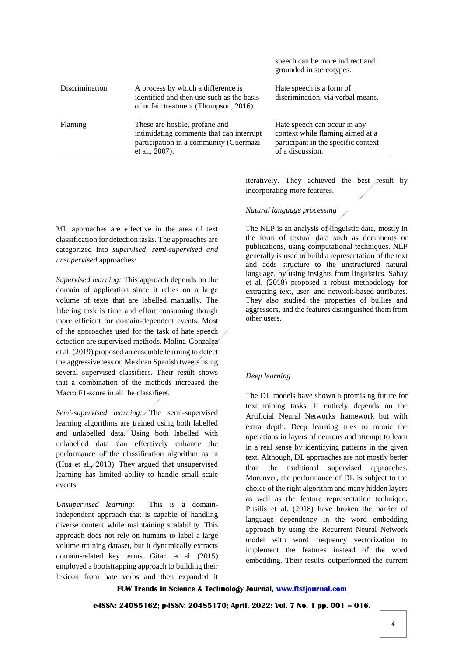|                |                                                                                                                                        | speech can be more indirect and<br>grounded in stereotypes.                                                                 |
|----------------|----------------------------------------------------------------------------------------------------------------------------------------|-----------------------------------------------------------------------------------------------------------------------------|
| Discrimination | A process by which a difference is<br>identified and then use such as the basis<br>of unfair treatment (Thompson, 2016).               | Hate speech is a form of<br>discrimination, via verbal means.                                                               |
| Flaming        | These are hostile, profane and<br>intimidating comments that can interrupt<br>participation in a community (Guermazi<br>et al., 2007). | Hate speech can occur in any<br>context while flaming aimed at a<br>participant in the specific context<br>of a discussion. |
|                |                                                                                                                                        |                                                                                                                             |

ML approaches are effective in the area of text classification for detection tasks. The approaches are categorized into *supervised, semi-supervised and unsupervised* approaches:

*Supervised learning:* This approach depends on the domain of application since it relies on a large volume of texts that are labelled manually. The labeling task is time and effort consuming though more efficient for domain-dependent events. Most of the approaches used for the task of hate speech detection are supervised methods. Molina-Gonzalez et al. (2019) proposed an ensemble learning to detect the aggressiveness on Mexican Spanish tweets using several supervised classifiers. Their result shows that a combination of the methods increased the Macro F1-score in all the classifiers.

*Semi-supervised learning:* The semi-supervised learning algorithms are trained using both labelled and unlabelled data. Using both labelled with unlabelled data  $\angle$ can effectively enhance the performance of the classification algorithm as in (Hua et al., 2013). They argued that unsupervised learning has limited ability to handle small scale events.

*Unsupervised learning:* This is a domainindependent approach that is capable of handling diverse content while maintaining scalability. This approach does not rely on humans to label a large volume training dataset, but it dynamically extracts domain-related key terms. Gitari et al. (2015) employed a bootstrapping approach to building their lexicon from hate verbs and then expanded it

iteratively. They achieved the best result by incorporating more features.

### *Natural language processing*

The NLP is an analysis of linguistic data, mostly in the form of textual data such as documents or publications, using computational techniques. NLP generally is used to build a representation of the text and adds structure to the unstructured natural language, by using insights from linguistics. Sahay et al. (2018) proposed a robust methodology for extracting text, user, and network-based attributes. They also studied the properties of bullies and aggressors, and the features distinguished them from other users.

#### *Deep learning*

The DL models have shown a promising future for text mining tasks. It entirely depends on the Artificial Neural Networks framework but with extra depth. Deep learning tries to mimic the operations in layers of neurons and attempt to learn in a real sense by identifying patterns in the given text. Although, DL approaches are not mostly better than the traditional supervised approaches. Moreover, the performance of DL is subject to the choice of the right algorithm and many hidden layers as well as the feature representation technique. Pitsilis et al. (2018) have broken the barrier of language dependency in the word embedding approach by using the Recurrent Neural Network model with word frequency vectorization to implement the features instead of the word embedding. Their results outperformed the current

#### **FUW Trends in Science & Technology Journal, [www.ftstjournal.com](http://www.ftstjournal.com/)**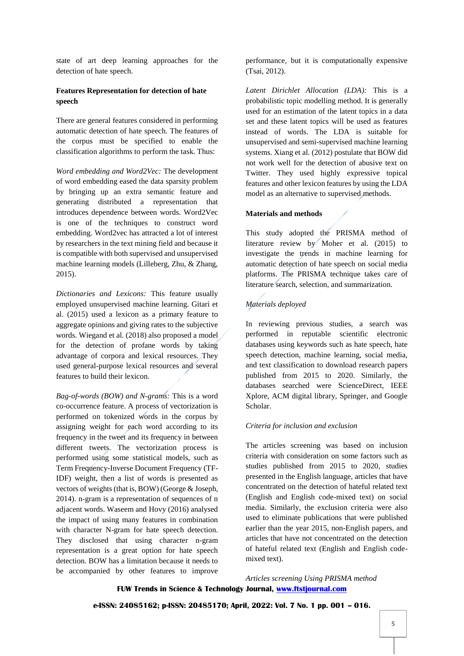state of art deep learning approaches for the detection of hate speech.

## **Features Representation for detection of hate speech**

There are general features considered in performing automatic detection of hate speech. The features of the corpus must be specified to enable the classification algorithms to perform the task. Thus:

*Word embedding and Word2Vec:* The development of word embedding eased the data sparsity problem by bringing up an extra semantic feature and generating distributed a representation that introduces dependence between words. Word2Vec is one of the techniques to construct word embedding. Word2vec has attracted a lot of interest by researchers in the text mining field and because it is compatible with both supervised and unsupervised machine learning models (Lilleberg, Zhu, & Zhang, 2015).

*Dictionaries and Lexicons:* This feature usually employed unsupervised machine learning. Gitari et al. (2015) used a lexicon as a primary feature to aggregate opinions and giving rates to the subjective words. Wiegand et al. (2018) also proposed a model for the detection of profane words by taking advantage of corpora and lexical resources. They used general-purpose lexical resources and several features to build their lexicon.

*Bag-of-words (BOW) and N-grams:* This is a word co-occurrence feature. A process of vectorization is performed on tokenized words in the corpus by assigning weight for each word according to its frequency in the tweet and its frequency in between different tweets. The vectorization process is performed using some statistical models, such as Term Frequency-Inverse Document Frequency (TF-IDF) weight, then a list of words is presented as vectors of weights (that is, BOW) (George & Joseph, 2014). n-gram is a representation of sequences of n adjacent words. Waseem and Hovy (2016) analysed the impact of using many features in combination with character N-gram for hate speech detection. They disclosed that using character n-gram representation is a great option for hate speech detection. BOW has a limitation because it needs to be accompanied by other features to improve

performance, but it is computationally expensive (Tsai, 2012).

*Latent Dirichlet Allocation (LDA):* This is a probabilistic topic modelling method. It is generally used for an estimation of the latent topics in a data set and these latent topics will be used as features instead of words. The LDA is suitable for unsupervised and semi-supervised machine learning systems. Xiang et al. (2012) postulate that BOW did not work well for the detection of abusive text on Twitter. They used highly expressive topical features and other lexicon features by using the LDA model as an alternative to supervised methods.

### **Materials and methods**

This study adopted the PRISMA method of literature review by Moher et al. (2015) to investigate the trends in machine learning for automatic detection of hate speech on social media platforms. The PRISMA technique takes care of literature search, selection, and summarization.

# *Materials deployed*

In reviewing previous studies, a search was performed in reputable scientific electronic databases using keywords such as hate speech, hate speech detection, machine learning, social media, and text classification to download research papers published from 2015 to 2020. Similarly, the databases searched were ScienceDirect, IEEE Xplore, ACM digital library, Springer, and Google Scholar.

## *Criteria for inclusion and exclusion*

The articles screening was based on inclusion criteria with consideration on some factors such as studies published from 2015 to 2020, studies presented in the English language, articles that have concentrated on the detection of hateful related text (English and English code-mixed text) on social media. Similarly, the exclusion criteria were also used to eliminate publications that were published earlier than the year 2015, non-English papers, and articles that have not concentrated on the detection of hateful related text (English and English codemixed text).

**FUW Trends in Science & Technology Journal, [www.ftstjournal.com](http://www.ftstjournal.com/)** *Articles screening Using PRISMA method*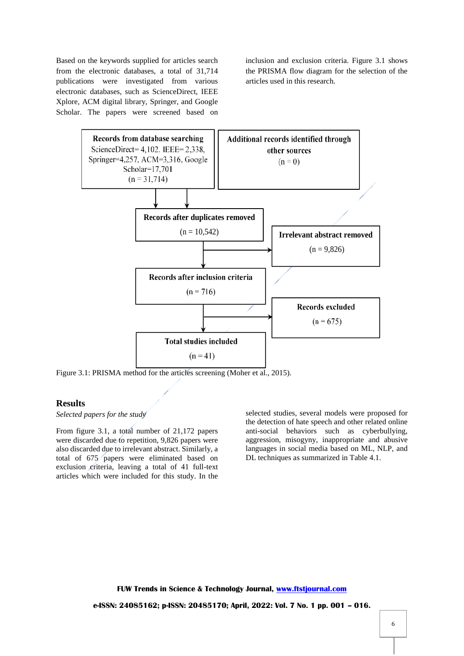Based on the keywords supplied for articles search from the electronic databases, a total of 31,714 publications were investigated from various electronic databases, such as ScienceDirect, IEEE Xplore, ACM digital library, Springer, and Google Scholar. The papers were screened based on

inclusion and exclusion criteria. Figure 3.1 shows the PRISMA flow diagram for the selection of the articles used in this research.



Figure 3.1: PRISMA method for the articles screening (Moher et al., 2015).

## **Results**

## *Selected papers for the study*

From figure 3.1, a total number of 21,172 papers were discarded due to repetition, 9,826 papers were also discarded due to irrelevant abstract. Similarly, a total of 675 papers were eliminated based on exclusion criteria, leaving a total of 41 full-text articles which were included for this study. In the

selected studies, several models were proposed for the detection of hate speech and other related online anti-social behaviors such as cyberbullying, aggression, misogyny, inappropriate and abusive languages in social media based on ML, NLP, and DL techniques as summarized in Table 4.1.

**FUW Trends in Science & Technology Journal, [www.ftstjournal.com](http://www.ftstjournal.com/) e-ISSN: 24085162; p-ISSN: 20485170; April, 2022: Vol. 7 No. 1 pp. 001 – 016.**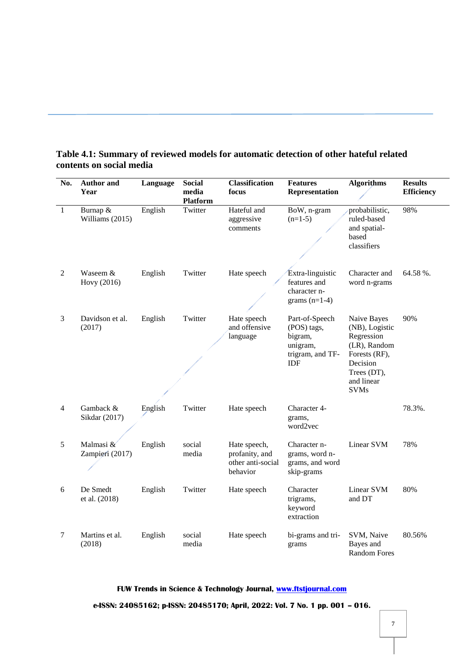| No.            | <b>Author</b> and<br>Year       | Language | <b>Social</b><br>media<br><b>Platform</b> | <b>Classification</b><br>focus                                  | <b>Features</b><br>Representation                                                      | <b>Algorithms</b>                                                                                                                    | <b>Results</b><br><b>Efficiency</b> |
|----------------|---------------------------------|----------|-------------------------------------------|-----------------------------------------------------------------|----------------------------------------------------------------------------------------|--------------------------------------------------------------------------------------------------------------------------------------|-------------------------------------|
| $\mathbf{1}$   | Burnap &<br>Williams (2015)     | English  | Twitter                                   | Hateful and<br>aggressive<br>comments                           | BoW, n-gram<br>$(n=1-5)$                                                               | probabilistic,<br>ruled-based<br>and spatial-<br>based<br>classifiers                                                                | 98%                                 |
| 2              | Waseem &<br>Hovy (2016)         | English  | Twitter                                   | Hate speech                                                     | Extra-linguistic<br>features and<br>character n-<br>grams $(n=1-4)$                    | Character and<br>word n-grams                                                                                                        | 64.58%.                             |
| 3              | Davidson et al.<br>(2017)       | English  | Twitter                                   | Hate speech<br>and offensive<br>language                        | Part-of-Speech<br>(POS) tags,<br>bigram,<br>unigram,<br>trigram, and TF-<br><b>IDF</b> | Naive Bayes<br>(NB), Logistic<br>Regression<br>(LR), Random<br>Forests (RF),<br>Decision<br>Trees (DT),<br>and linear<br><b>SVMs</b> | 90%                                 |
| $\overline{4}$ | Gamback &<br>Sikdar (2017)      | English  | Twitter                                   | Hate speech                                                     | Character 4-<br>grams,<br>word2vec                                                     |                                                                                                                                      | 78.3%.                              |
| 5              | Malmasi $\&$<br>Zampieri (2017) | English  | social<br>media                           | Hate speech,<br>profanity, and<br>other anti-social<br>behavior | Character n-<br>grams, word n-<br>grams, and word<br>skip-grams                        | Linear SVM                                                                                                                           | 78%                                 |
| 6              | De Smedt<br>et al. (2018)       | English  | Twitter                                   | Hate speech                                                     | Character<br>trigrams,<br>keyword<br>extraction                                        | Linear SVM<br>and DT                                                                                                                 | 80%                                 |
| $\tau$         | Martins et al.<br>(2018)        | English  | social<br>media                           | Hate speech                                                     | bi-grams and tri-<br>grams                                                             | SVM, Naive<br>Bayes and<br><b>Random Fores</b>                                                                                       | 80.56%                              |

# **Table 4.1: Summary of reviewed models for automatic detection of other hateful related contents on social media**

**FUW Trends in Science & Technology Journal, [www.ftstjournal.com](http://www.ftstjournal.com/)**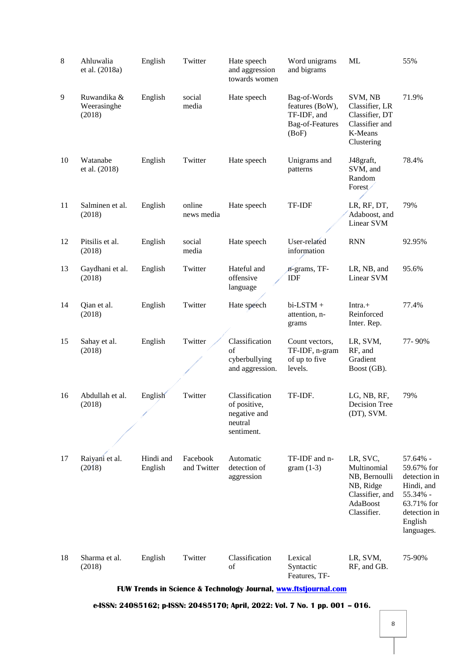| 8  | Ahluwalia<br>et al. (2018a)          | English              | Twitter                 | Hate speech<br>and aggression<br>towards women                          | Word unigrams<br>and bigrams                                                      | <b>ML</b>                                                                                           | 55%                                                                                                                     |
|----|--------------------------------------|----------------------|-------------------------|-------------------------------------------------------------------------|-----------------------------------------------------------------------------------|-----------------------------------------------------------------------------------------------------|-------------------------------------------------------------------------------------------------------------------------|
| 9  | Ruwandika &<br>Weerasinghe<br>(2018) | English              | social<br>media         | Hate speech                                                             | Bag-of-Words<br>features (BoW),<br>TF-IDF, and<br><b>Bag-of-Features</b><br>(BoF) | SVM, NB<br>Classifier, LR<br>Classifier, DT<br>Classifier and<br>K-Means<br>Clustering              | 71.9%                                                                                                                   |
| 10 | Watanabe<br>et al. (2018)            | English              | Twitter                 | Hate speech                                                             | Unigrams and<br>patterns                                                          | J48graft,<br>SVM, and<br>Random<br>Forest<br>╱                                                      | 78.4%                                                                                                                   |
| 11 | Salminen et al.<br>(2018)            | English              | online<br>news media    | Hate speech                                                             | TF-IDF                                                                            | LR, RF, DT,<br>Adaboost, and<br>Linear SVM                                                          | 79%                                                                                                                     |
| 12 | Pitsilis et al.<br>(2018)            | English              | social<br>media         | Hate speech                                                             | User-related<br>information                                                       | <b>RNN</b>                                                                                          | 92.95%                                                                                                                  |
| 13 | Gaydhani et al.<br>(2018)            | English              | Twitter                 | Hateful and<br>offensive<br>language                                    | n-grams, TF-<br>IDF                                                               | LR, NB, and<br>Linear SVM                                                                           | 95.6%                                                                                                                   |
| 14 | Qian et al.<br>(2018)                | English              | Twitter                 | Hate speech                                                             | bi-LSTM +<br>attention, n-<br>grams                                               | $Intra. +$<br>Reinforced<br>Inter. Rep.                                                             | 77.4%                                                                                                                   |
| 15 | Sahay et al.<br>(2018)               | English              | Twitter                 | Classification<br>of<br>cyberbullying<br>and aggression.                | Count vectors,<br>TF-IDF, n-gram<br>of up to five<br>levels.                      | LR, SVM,<br>RF, and<br>Gradient<br>Boost (GB).                                                      | 77-90%                                                                                                                  |
| 16 | Abdullah et al.<br>(2018)            | English              | Twitter                 | Classification<br>of positive,<br>negative and<br>neutral<br>sentiment. | TF-IDF.                                                                           | LG, NB, RF,<br>Decision Tree<br>(DT), SVM.                                                          | 79%                                                                                                                     |
| 17 | Raiyani et al.<br>(2018)             | Hindi and<br>English | Facebook<br>and Twitter | Automatic<br>detection of<br>aggression                                 | TF-IDF and n-<br>$gram(1-3)$                                                      | LR, SVC,<br>Multinomial<br>NB, Bernoulli<br>NB, Ridge<br>Classifier, and<br>AdaBoost<br>Classifier. | 57.64% -<br>59.67% for<br>detection in<br>Hindi, and<br>55.34% -<br>63.71% for<br>detection in<br>English<br>languages. |
| 18 | Sharma et al.<br>(2018)              | English              | Twitter                 | Classification<br>of                                                    | Lexical<br>Syntactic<br>Features, TF-                                             | LR, SVM,<br>RF, and GB.                                                                             | 75-90%                                                                                                                  |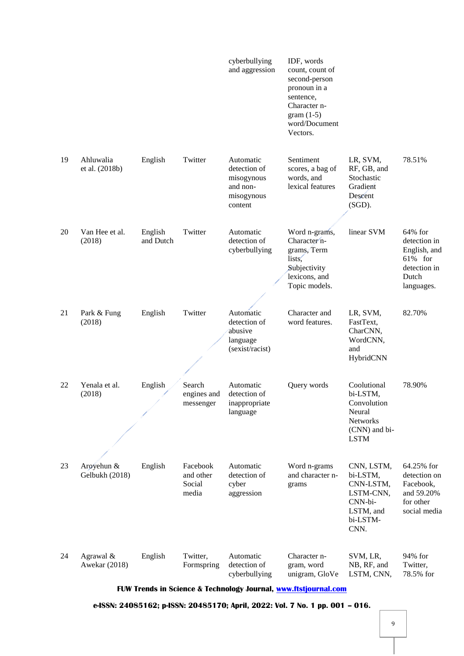|                                    |                      |                                          | cyberbullying<br>and aggression                                              | IDF, words<br>count, count of<br>second-person<br>pronoun in a<br>sentence,<br>Character n-<br>$gram(1-5)$<br>word/Document<br>Vectors. |                                                                                                     |                                                                                              |
|------------------------------------|----------------------|------------------------------------------|------------------------------------------------------------------------------|-----------------------------------------------------------------------------------------------------------------------------------------|-----------------------------------------------------------------------------------------------------|----------------------------------------------------------------------------------------------|
| 19<br>Ahluwalia<br>et al. (2018b)  | English              | Twitter                                  | Automatic<br>detection of<br>misogynous<br>and non-<br>misogynous<br>content | Sentiment<br>scores, a bag of<br>words, and<br>lexical features                                                                         | LR, SVM,<br>RF, GB, and<br>Stochastic<br>Gradient<br>Descent<br>$(SGD)$ .                           | 78.51%                                                                                       |
| Van Hee et al.<br>20<br>(2018)     | English<br>and Dutch | Twitter                                  | Automatic<br>detection of<br>cyberbullying                                   | Word n-grams,<br>Character <sup>n-</sup><br>grams, Term<br>lists,<br>Subjectivity<br>lexicons, and<br>Topic models.                     | linear SVM                                                                                          | 64% for<br>detection in<br>English, and<br>$61\%$ for<br>detection in<br>Dutch<br>languages. |
| 21<br>Park & Fung<br>(2018)        | English              | Twitter                                  | Automatic<br>detection of<br>abusive<br>language<br>(sexist/racist)          | Character and<br>word features.                                                                                                         | LR, SVM,<br>FastText,<br>CharCNN,<br>WordCNN,<br>and<br>HybridCNN                                   | 82.70%                                                                                       |
| 22<br>Yenala et al.<br>(2018)      | English              | Search<br>engines and<br>messenger       | Automatic<br>detection of<br>inappropriate<br>language                       | Query words                                                                                                                             | Coolutional<br>bi-LSTM,<br>Convolution<br>Neural<br><b>Networks</b><br>(CNN) and bi-<br><b>LSTM</b> | 78.90%                                                                                       |
| Aroyehun &<br>23<br>Gelbukh (2018) | English              | Facebook<br>and other<br>Social<br>media | Automatic<br>detection of<br>cyber<br>aggression                             | Word n-grams<br>and character n-<br>grams                                                                                               | CNN, LSTM,<br>bi-LSTM,<br>CNN-LSTM,<br>LSTM-CNN,<br>CNN-bi-<br>LSTM, and<br>bi-LSTM-<br>CNN.        | 64.25% for<br>detection on<br>Facebook,<br>and 59.20%<br>for other<br>social media           |
| 24<br>Agrawal &<br>Awekar (2018)   | English              | Twitter,<br>Formspring                   | Automatic<br>detection of<br>cyberbullying                                   | Character n-<br>gram, word<br>unigram, GloVe                                                                                            | SVM, LR,<br>NB, RF, and<br>LSTM, CNN,                                                               | 94% for<br>Twitter,<br>78.5% for                                                             |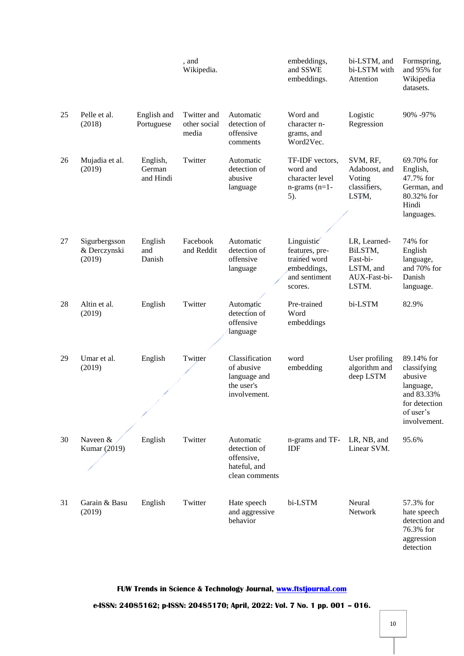|    |                                         |                                 | , and<br>Wikipedia.                  |                                                                            | embeddings,<br>and SSWE<br>embeddings.                                                  | bi-LSTM, and<br>bi-LSTM with<br>Attention                                 | Formspring,<br>and 95% for<br>Wikipedia<br>datasets.                                                          |
|----|-----------------------------------------|---------------------------------|--------------------------------------|----------------------------------------------------------------------------|-----------------------------------------------------------------------------------------|---------------------------------------------------------------------------|---------------------------------------------------------------------------------------------------------------|
| 25 | Pelle et al.<br>(2018)                  | English and<br>Portuguese       | Twitter and<br>other social<br>media | Automatic<br>detection of<br>offensive<br>comments                         | Word and<br>character n-<br>grams, and<br>Word2Vec.                                     | Logistic<br>Regression                                                    | 90% -97%                                                                                                      |
| 26 | Mujadia et al.<br>(2019)                | English,<br>German<br>and Hindi | Twitter                              | Automatic<br>detection of<br>abusive<br>language                           | TF-IDF vectors,<br>word and<br>character level<br>$n$ -grams $(n=1$ -<br>5).            | SVM, RF,<br>Adaboost, and<br>Voting<br>classifiers,<br>LSTM,              | 69.70% for<br>English,<br>47.7% for<br>German, and<br>80.32% for<br>Hindi<br>languages.                       |
| 27 | Sigurbergsson<br>& Derczynski<br>(2019) | English<br>and<br>Danish        | Facebook<br>and Reddit               | Automatic<br>detection of<br>offensive<br>language                         | Linguistic<br>features, pre-<br>trained word<br>embeddings,<br>and sentiment<br>scores. | LR, Learned-<br>BiLSTM,<br>Fast-bi-<br>LSTM, and<br>AUX-Fast-bi-<br>LSTM. | 74% for<br>English<br>language,<br>and 70% for<br>Danish<br>language.                                         |
| 28 | Altin et al.<br>(2019)                  | English                         | Twitter                              | Automatic<br>detection of<br>offensive<br>language                         | Pre-trained<br>Word<br>embeddings                                                       | bi-LSTM                                                                   | 82.9%                                                                                                         |
| 29 | Umar et al.<br>(2019)                   | English                         | Twitter                              | Classification<br>of abusive<br>language and<br>the user's<br>involvement. | word<br>embedding                                                                       | User profiling<br>algorithm and<br>deep LSTM                              | 89.14% for<br>classifying<br>abusive<br>language,<br>and 83.33%<br>for detection<br>of user's<br>involvement. |
| 30 | Naveen &<br>Kumar (2019)                | English                         | Twitter                              | Automatic<br>detection of<br>offensive,<br>hateful, and<br>clean comments  | n-grams and TF-<br>IDF                                                                  | LR, NB, and<br>Linear SVM.                                                | 95.6%                                                                                                         |
| 31 | Garain & Basu<br>(2019)                 | English                         | Twitter                              | Hate speech<br>and aggressive<br>behavior                                  | bi-LSTM                                                                                 | Neural<br>Network                                                         | 57.3% for<br>hate speech<br>detection and<br>76.3% for<br>aggression<br>detection                             |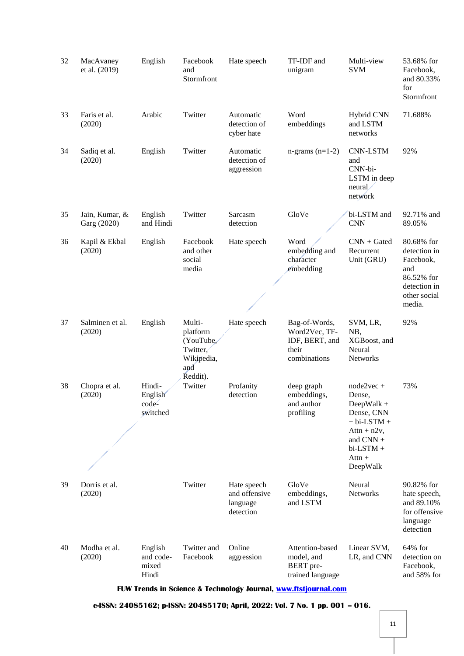| 32 | MacAvaney<br>et al. (2019)                                      | English                                | Facebook<br>and<br>Stormfront                                                | Hate speech                                           | TF-IDF and<br>unigram                                                     | Multi-view<br><b>SVM</b>                                                                                                                  | 53.68% for<br>Facebook,<br>and 80.33%<br>for<br>Stormfront                                             |  |  |
|----|-----------------------------------------------------------------|----------------------------------------|------------------------------------------------------------------------------|-------------------------------------------------------|---------------------------------------------------------------------------|-------------------------------------------------------------------------------------------------------------------------------------------|--------------------------------------------------------------------------------------------------------|--|--|
| 33 | Faris et al.<br>(2020)                                          | Arabic                                 | Twitter                                                                      | Automatic<br>detection of<br>cyber hate               | Word<br>embeddings                                                        | <b>Hybrid CNN</b><br>and LSTM<br>networks                                                                                                 | 71.688%                                                                                                |  |  |
| 34 | Sadiq et al.<br>(2020)                                          | English                                | Twitter                                                                      | Automatic<br>detection of<br>aggression               | $n$ -grams $(n=1-2)$                                                      | <b>CNN-LSTM</b><br>and<br>CNN-bi-<br>LSTM in deep<br>neural/<br>network                                                                   | 92%                                                                                                    |  |  |
| 35 | Jain, Kumar, &<br>Garg (2020)                                   | English<br>and Hindi                   | Twitter                                                                      | Sarcasm<br>detection                                  | GloVe                                                                     | bi-LSTM and<br><b>CNN</b>                                                                                                                 | 92.71% and<br>89.05%                                                                                   |  |  |
| 36 | Kapil & Ekbal<br>(2020)                                         | English                                | Facebook<br>and other<br>social<br>media                                     | Hate speech                                           | Word<br>embedding and<br>character<br>embedding                           | $CNN + Gated$<br>Recurrent<br>Unit (GRU)                                                                                                  | 80.68% for<br>detection in<br>Facebook,<br>and<br>86.52% for<br>detection in<br>other social<br>media. |  |  |
| 37 | Salminen et al.<br>(2020)                                       | English                                | Multi-<br>platform<br>(YouTube,<br>Twitter,<br>Wikipedia,<br>and<br>Ředdit). | Hate speech                                           | Bag-of-Words,<br>Word2Vec, TF-<br>IDF, BERT, and<br>their<br>combinations | SVM, LR,<br>NB,<br>XGBoost, and<br>Neural<br><b>Networks</b>                                                                              | 92%                                                                                                    |  |  |
| 38 | Chopra et al.<br>(2020)                                         | Hindi-<br>English<br>code-<br>switched | Twitter                                                                      | Profanity<br>detection                                | deep graph<br>embeddings,<br>and author<br>profiling                      | $node2vec +$<br>Dense,<br>DeepWalk +<br>Dense, CNN<br>$+ bi$ -LSTM $+$<br>$Attn + n2v,$<br>and CNN +<br>bi-LSTM +<br>$Attn +$<br>DeepWalk | 73%                                                                                                    |  |  |
| 39 | Dorris et al.<br>(2020)                                         |                                        | Twitter                                                                      | Hate speech<br>and offensive<br>language<br>detection | GloVe<br>embeddings,<br>and LSTM                                          | Neural<br>Networks                                                                                                                        | 90.82% for<br>hate speech,<br>and 89.10%<br>for offensive<br>language<br>detection                     |  |  |
| 40 | Modha et al.<br>(2020)                                          | English<br>and code-<br>mixed<br>Hindi | Twitter and<br>Facebook                                                      | Online<br>aggression                                  | Attention-based<br>model, and<br><b>BERT</b> pre-<br>trained language     | Linear SVM,<br>LR, and CNN                                                                                                                | $64\%$ for<br>detection on<br>Facebook,<br>and 58% for                                                 |  |  |
|    | FUW Trends in Science & Technology Journal, www.ftstjournal.com |                                        |                                                                              |                                                       |                                                                           |                                                                                                                                           |                                                                                                        |  |  |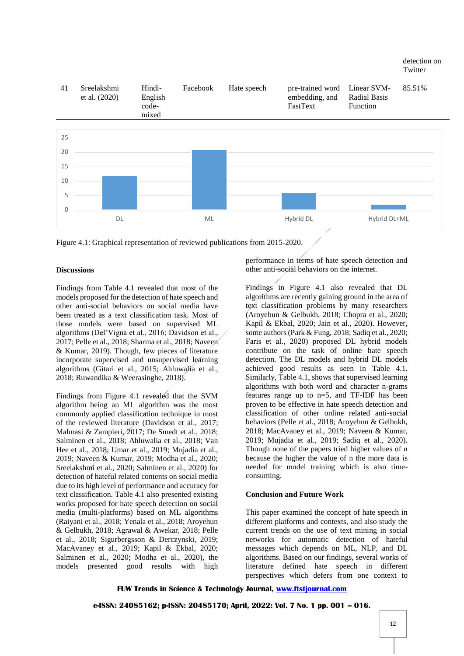

Figure 4.1: Graphical representation of reviewed publications from 2015-2020.

#### **Discussions**

Findings from Table 4.1 revealed that most of the models proposed for the detection of hate speech and other anti-social behaviors on social media have been treated as a text classification task. Most of those models were based on supervised ML algorithms (Del'Vigna et al., 2016; Davidson et al., 2017; Pelle et al., 2018; Sharma et al., 2018; Naveen & Kumar, 2019). Though, few pieces of literature incorporate supervised and unsupervised learning algorithms (Gitari et al., 2015; Ahluwalia et al., 2018; Ruwandika & Weerasinghe, 2018).

Findings from Figure 4.1 revealed that the SVM algorithm being an ML algorithm was the most commonly applied classification technique in most of the reviewed literature (Davidson et al., 2017; Malmasi & Zampieri, 2017; De Smedt et al., 2018; Salminen et al., 2018; Ahluwalia et al., 2018; Van Hee et al., 2018; Umar et al., 2019; Mujadia et al., 2019; Naveen & Kumar, 2019; Modha et al., 2020; Sreelakshmi et al., 2020; Salminen et al., 2020) for detection of hateful related contents on social media due to its high level of performance and accuracy for text classification. Table 4.1 also presented existing works proposed for hate speech detection on social media (multi-platforms) based on ML algorithms (Raiyani et al., 2018; Yenala et al., 2018; Aroyehun & Gelbukh, 2018; Agrawal & Awekar, 2018; Pelle et al., 2018; Sigurbergsson & Derczynski, 2019; MacAvaney et al., 2019; Kapil & Ekbal, 2020; Salminen et al., 2020; Modha et al., 2020), the models presented good results with high

performance in terms of hate speech detection and other anti-social behaviors on the internet.

Findings in Figure 4.1 also revealed that DL algorithms are recently gaining ground in the area of text classification problems by many researchers (Aroyehun & Gelbukh, 2018; Chopra et al., 2020; Kapil & Ekbal, 2020; Jain et al., 2020). However, some authors (Park & Fung, 2018; Sadiq et al., 2020; Faris et al., 2020) proposed DL hybrid models contribute on the task of online hate speech detection. The DL models and hybrid DL models achieved good results as seen in Table 4.1. Similarly, Table 4.1, shows that supervised learning algorithms with both word and character n-grams features range up to n=5, and TF-IDF has been proven to be effective in hate speech detection and classification of other online related anti-social behaviors (Pelle et al., 2018; Aroyehun & Gelbukh, 2018; MacAvaney et al., 2019; Naveen & Kumar, 2019; Mujadia et al., 2019; Sadiq et al., 2020). Though none of the papers tried higher values of n because the higher the value of n the more data is needed for model training which is also timeconsuming.

#### **Conclusion and Future Work**

This paper examined the concept of hate speech in different platforms and contexts, and also study the current trends on the use of text mining in social networks for automatic detection of hateful messages which depends on ML, NLP, and DL algorithms. Based on our findings, several works of literature defined hate speech in different perspectives which defers from one context to

#### **FUW Trends in Science & Technology Journal, [www.ftstjournal.com](http://www.ftstjournal.com/)**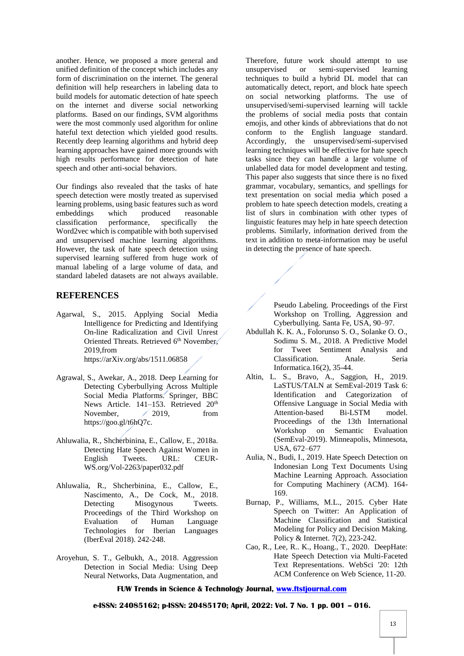another. Hence, we proposed a more general and unified definition of the concept which includes any form of discrimination on the internet. The general definition will help researchers in labeling data to build models for automatic detection of hate speech on the internet and diverse social networking platforms. Based on our findings, SVM algorithms were the most commonly used algorithm for online hateful text detection which yielded good results. Recently deep learning algorithms and hybrid deep learning approaches have gained more grounds with high results performance for detection of hate speech and other anti-social behaviors.

Our findings also revealed that the tasks of hate speech detection were mostly treated as supervised learning problems, using basic features such as word embeddings which classification performance, specifically the Word2vec which is compatible with both supervised and unsupervised machine learning algorithms. However, the task of hate speech detection using supervised learning suffered from huge work of manual labeling of a large volume of data, and standard labeled datasets are not always available.

# **REFERENCES**

- Agarwal, S., 2015. Applying Social Media Intelligence for Predicting and Identifying On-line Radicalization and Civil Unrest Oriented Threats. Retrieved 6<sup>th</sup> November, 2019,from https://arXiv.org/abs/1511.06858
- Agrawal, S., Awekar, A., 2018. Deep Learning for Detecting Cyberbullying Across Multiple Social Media Platforms. Springer, BBC News Article. 141–153. Retrieved 20<sup>th</sup> November,  $\angle$  2019, from https://goo.gl/t6hQ7c.
- Ahluwalia, R., Shcherbinina, E., Callow, E., 2018a. Detecting Hate Speech Against Women in English Tweets. URL: CEUR-WS.org/Vol-2263/paper032.pdf
- Ahluwalia, R., Shcherbinina, E., Callow, E., Nascimento, A., De Cock, M., 2018. Detecting Misogynous Tweets. Proceedings of the Third Workshop on Evaluation of Human Language Technologies for Iberian Languages (IberEval 2018). 242-248.
- Aroyehun, S. T., Gelbukh, A., 2018. Aggression Detection in Social Media: Using Deep Neural Networks, Data Augmentation, and

Therefore, future work should attempt to use unsupervised or semi-supervised learning techniques to build a hybrid DL model that can automatically detect, report, and block hate speech on social networking platforms. The use of unsupervised/semi-supervised learning will tackle the problems of social media posts that contain emojis, and other kinds of abbreviations that do not conform to the English language standard. Accordingly, the unsupervised/semi-supervised learning techniques will be effective for hate speech tasks since they can handle a large volume of unlabelled data for model development and testing. This paper also suggests that since there is no fixed grammar, vocabulary, semantics, and spellings for text presentation on social media which posed a problem to hate speech detection models, creating a list of slurs in combination with other types of linguistic features may help in hate speech detection problems. Similarly, information derived from the text in addition to meta-information may be useful in detecting the presence of hate speech.

> Pseudo Labeling. Proceedings of the First Workshop on Trolling, Aggression and Cyberbullying. Santa Fe, USA, 90–97.

- Abdullah K. K. A., Folorunso S. O., Solanke O. O., Sodimu S. M., 2018. A Predictive Model for Tweet Sentiment Analysis and Classification. Anale. Seria Informatica.16(2), 35-44.
- Altin, L. S., Bravo, A., Saggion, H., 2019. LaSTUS/TALN at SemEval-2019 Task 6: Identification and Categorization of Offensive Language in Social Media with Attention-based Bi-LSTM model. Proceedings of the 13th International Workshop on Semantic Evaluation (SemEval-2019). Minneapolis, Minnesota, USA, 672–677
- Aulia, N., Budi, I., 2019. Hate Speech Detection on Indonesian Long Text Documents Using Machine Learning Approach. Association for Computing Machinery (ACM). 164- 169.
- Burnap, P., Williams, M.L., 2015. Cyber Hate Speech on Twitter: An Application of Machine Classification and Statistical Modeling for Policy and Decision Making. Policy & Internet. 7(2), 223-242.
- Cao, R., Lee, R.. K., Hoang., T., 2020. DeepHate: Hate Speech Detection via Multi-Faceted Text Representations. WebSci '20: 12th ACM Conference on Web Science, 11-20.

## **FUW Trends in Science & Technology Journal, [www.ftstjournal.com](http://www.ftstjournal.com/)**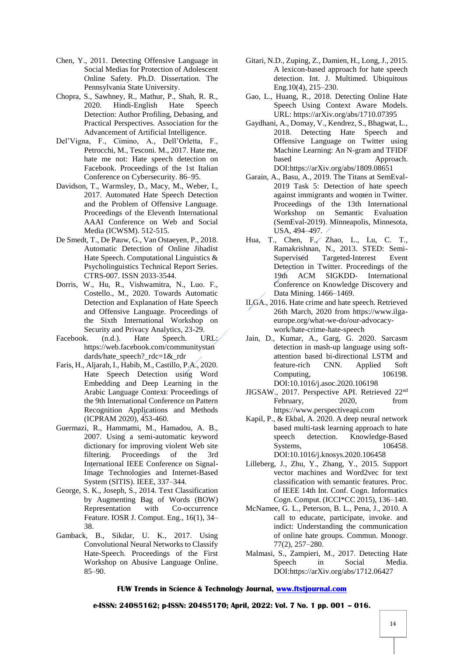- Chen, Y., 2011. Detecting Offensive Language in Social Medias for Protection of Adolescent Online Safety. Ph.D. Dissertation. The Pennsylvania State University.
- Chopra, S., Sawhney, R., Mathur, P., Shah, R. R., 2020. Hindi-English Hate Speech Detection: Author Profiling, Debasing, and Practical Perspectives. Association for the Advancement of Artificial Intelligence.
- Del'Vigna, F., Cimino, A., Dell'Orletta, F., Petrocchi, M., Tesconi. M., 2017. Hate me, hate me not: Hate speech detection on Facebook. Proceedings of the 1st Italian Conference on Cybersecurity. 86–95.
- Davidson, T., Warmsley, D., Macy, M., Weber, I., 2017. Automated Hate Speech Detection and the Problem of Offensive Language. Proceedings of the Eleventh International AAAI Conference on Web and Social Media (ICWSM). 512-515.
- De Smedt, T., De Pauw, G., Van Ostaeyen, P., 2018. Automatic Detection of Online Jihadist Hate Speech. Computational Linguistics & Psycholinguistics Technical Report Series. CTRS-007. ISSN 2033-3544.
- Dorris, W., Hu, R., Vishwamitra, N., Luo. F., Costello., M., 2020. Towards Automatic Detection and Explanation of Hate Speech and Offensive Language. Proceedings of the Sixth International Workshop on Security and Privacy Analytics, 23-29.
- Facebook. (n.d.). Hate Speech. URL: https://web.facebook.com/communitystan dards/hate\_speech?  $rdc=1&c$
- Faris, H., Aljarah, I., Habib, M., Castillo, P.A., 2020. Hate Speech Detection using Word Embedding and Deep Learning in the Arabic Language Context. Proceedings of the 9th International Conference on Pattern Recognition Applications and Methods (ICPRAM 2020), 453-460.
- Guermazi, R., Hammami, M., Hamadou, A. B., 2007. Using a semi-automatic keyword dictionary for improving violent Web site filtering. Proceedings of the 3rd International IEEE Conference on Signal-Image Technologies and Internet-Based System (SITIS). IEEE, 337–344.
- George, S. K., Joseph, S., 2014. Text Classification by Augmenting Bag of Words (BOW) Representation with Co-occurrence Feature. IOSR J. Comput. Eng., 16(1), 34– 38.
- Gamback, B., Sikdar, U. K., 2017. Using Convolutional Neural Networks to Classify Hate-Speech. Proceedings of the First Workshop on Abusive Language Online. 85–90.
- Gitari, N.D., Zuping, Z., Damien, H., Long, J., 2015. A lexicon-based approach for hate speech detection. Int. J. Multimed. Ubiquitous Eng.10(4), 215–230.
- Gao, L., Huang, R., 2018. Detecting Online Hate Speech Using Context Aware Models. URL: https://arXiv.org/abs/1710.07395
- Gaydhani, A., Domay, V., Kendrez, S., Bhagwat, L., 2018. Detecting Hate Speech and Offensive Language on Twitter using Machine Learning: An N-gram and TFIDF based Approach. DOI:https://arXiv.org/abs/1809.08651
- Garain, A., Basu, A., 2019. The Titans at SemEval-2019 Task 5: Detection of hate speech against immigrants and women in Twitter. Proceedings of the 13th International Workshop on Semantic Evaluation (SemEval-2019). Minneapolis, Minnesota, USA, 494–497.
- Hua, T., Chen, F., Zhao, L., Lu, C. T., Ramakrishnan, N., 2013. STED: Semi-Supervised Targeted-Interest Event Detection in Twitter. Proceedings of the 19th ACM SIGKDD- International Conference on Knowledge Discovery and Data Mining. 1466–1469.
- ILGA., 2016. Hate crime and hate speech. Retrieved 26th March, 2020 from https://www.ilgaeurope.org/what-we-do/our-advocacywork/hate-crime-hate-speech
- Jain, D., Kumar, A., Garg, G. 2020. Sarcasm detection in mash-up language using softattention based bi-directional LSTM and feature-rich CNN. Applied Soft Computing, 106198. DOI:10.1016/j.asoc.2020.106198
- JIGSAW., 2017. Perspective API. Retrieved 22nd February, 2020, from https://www.perspectiveapi.com
- Kapil, P., & Ekbal, A. 2020. A deep neural network based multi-task learning approach to hate speech detection. Knowledge-Based Systems, 106458. DOI:10.1016/j.knosys.2020.106458
- Lilleberg, J., Zhu, Y., Zhang, Y., 2015. Support vector machines and Word2vec for text classification with semantic features. Proc. of IEEE 14th Int. Conf. Cogn. Informatics Cogn. Comput. (ICCI\*CC 2015), 136–140.
- McNamee, G. L., Peterson, B. L., Pena, J., 2010. A call to educate, participate, invoke. and indict: Understanding the communication of online hate groups. Commun. Monogr. 77(2), 257–280.
- Malmasi, S., Zampieri, M., 2017. Detecting Hate Speech in Social Media. DOI:https://arXiv.org/abs/1712.06427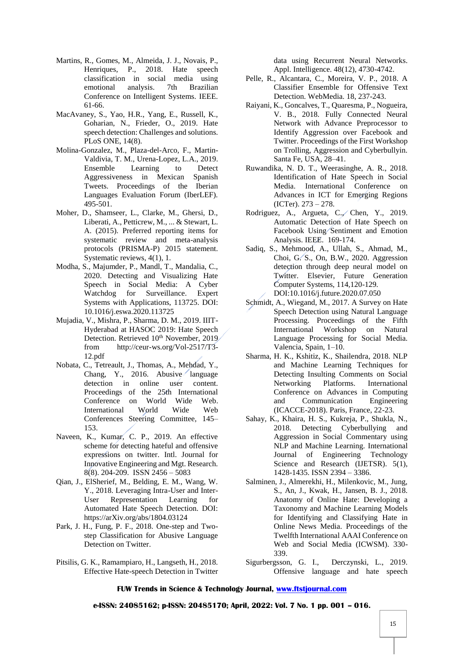- Martins, R., Gomes, M., Almeida, J. J., Novais, P., Henriques, P., 2018. Hate speech classification in social media using emotional analysis. 7th Brazilian Conference on Intelligent Systems. IEEE. 61-66.
- MacAvaney, S., Yao, H.R., Yang, E., Russell, K., Goharian, N., Frieder, O., 2019. Hate speech detection: Challenges and solutions. PLoS ONE, 14(8).
- Molina-Gonzalez, M., Plaza-del-Arco, F., Martin-Valdivia, T. M., Urena-Lopez, L.A., 2019. Ensemble Learning to Detect Aggressiveness in Mexican Spanish Tweets. Proceedings of the Iberian Languages Evaluation Forum (IberLEF). 495-501.
- Moher, D., Shamseer, L., Clarke, M., Ghersi, D., Liberati, A., Petticrew, M., ... & Stewart, L. A. (2015). Preferred reporting items for systematic review and meta-analysis protocols (PRISMA-P) 2015 statement. Systematic reviews, 4(1), 1.
- Modha, S., Majumder, P., Mandl, T., Mandalia, C., 2020. Detecting and Visualizing Hate Speech in Social Media: A Cyber Watchdog for Surveillance. Expert Systems with Applications, 113725. DOI: 10.1016/j.eswa.2020.113725
- Mujadia, V., Mishra, P., Sharma, D. M., 2019. IIIT-Hyderabad at HASOC 2019: Hate Speech Detection. Retrieved 10<sup>th</sup> November, 2019 from http://ceur-ws.org/Vol-2517/T3- 12.pdf
- Nobata, C., Tetreault, J., Thomas, A., Mehdad, Y., Chang, Y., 2016. Abusive language detection in online user content. Proceedings of the 25th International Conference on World Wide Web. International World Wide Web Conferences Steering Committee, 145– 153.
- Naveen, K., Kumar, C. P., 2019. An effective scheme for detecting hateful and offensive expressions on twitter. Intl. Journal for Innovative Engineering and Mgt. Research. 8(8). 204-209. ISSN 2456 – 5083
- Qian, J., ElSherief, M., Belding, E. M., Wang, W. Y., 2018. Leveraging Intra-User and Inter-User Representation Learning for Automated Hate Speech Detection. DOI: https://arXiv.org/abs/1804.03124
- Park, J. H., Fung, P. F., 2018. One-step and Twostep Classification for Abusive Language Detection on Twitter.
- Pitsilis, G. K., Ramampiaro, H., Langseth, H., 2018. Effective Hate-speech Detection in Twitter

data using Recurrent Neural Networks. Appl. Intelligence. 48(12), 4730-4742.

- Pelle, R., Alcantara, C., Moreira, V. P., 2018. A Classifier Ensemble for Offensive Text Detection. WebMedia. 18, 237-243.
- Raiyani, K., Goncalves, T., Quaresma, P., Nogueira, V. B., 2018. Fully Connected Neural Network with Advance Preprocessor to Identify Aggression over Facebook and Twitter. Proceedings of the First Workshop on Trolling, Aggression and Cyberbullyin. Santa Fe, USA, 28–41.
- Ruwandika, N. D. T., Weerasinghe, A. R., 2018. Identification of Hate Speech in Social Media. International Conference on Advances in ICT for Emerging Regions (ICTer). 273 – 278.
- Rodriguez, A., Argueta, C., Chen, Y., 2019. Automatic Detection of Hate Speech on Facebook Using Sentiment and Emotion Analysis. IEEE. 169-174.
- Sadiq, S., Mehmood, A., Ullah, S., Ahmad, M., Choi, G. S., On, B.W., 2020. Aggression detection through deep neural model on Twitter. Elsevier, Future Generation Computer Systems, 114,120-129*.*  DOI:10.1016/j.future.2020.07.050
- Schmidt, A., Wiegand, M., 2017. A Survey on Hate Speech Detection using Natural Language Processing. Proceedings of the Fifth International Workshop on Natural Language Processing for Social Media. Valencia, Spain, 1–10.
- Sharma, H. K., Kshitiz, K., Shailendra, 2018. NLP and Machine Learning Techniques for Detecting Insulting Comments on Social Networking Platforms. International Conference on Advances in Computing and Communication Engineering (ICACCE-2018). Paris, France, 22-23.
- Sahay, K., Khaira, H. S., Kukreja, P., Shukla, N., 2018. Detecting Cyberbullying and Aggression in Social Commentary using NLP and Machine Learning. International Journal of Engineering Technology Science and Research (IJETSR). 5(1), 1428-1435. ISSN 2394 – 3386.
- Salminen, J., Almerekhi, H., Milenkovic, M., Jung, S., An, J., Kwak, H., Jansen, B. J., 2018. Anatomy of Online Hate: Developing a Taxonomy and Machine Learning Models for Identifying and Classifying Hate in Online News Media. Proceedings of the Twelfth International AAAI Conference on Web and Social Media (ICWSM). 330- 339.
- Sigurbergsson, G. I., Derczynski, L., 2019. Offensive language and hate speech

## **FUW Trends in Science & Technology Journal, [www.ftstjournal.com](http://www.ftstjournal.com/)**